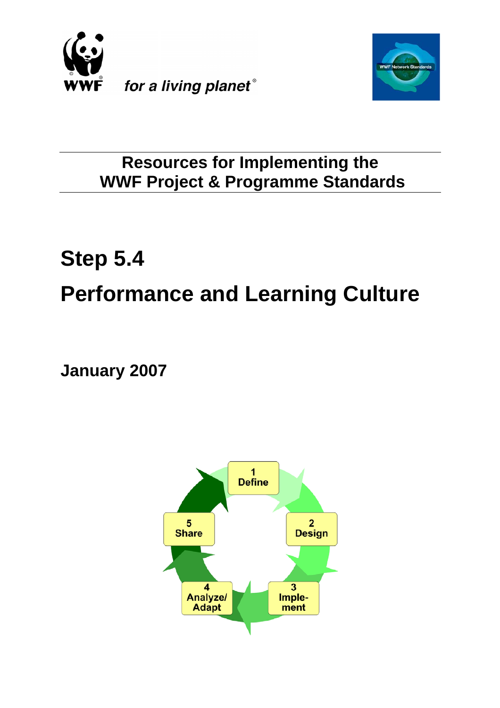



# **Resources for Implementing the WWF Project & Programme Standards**

# **Step 5.4 Performance and Learning Culture**

**January 2007**

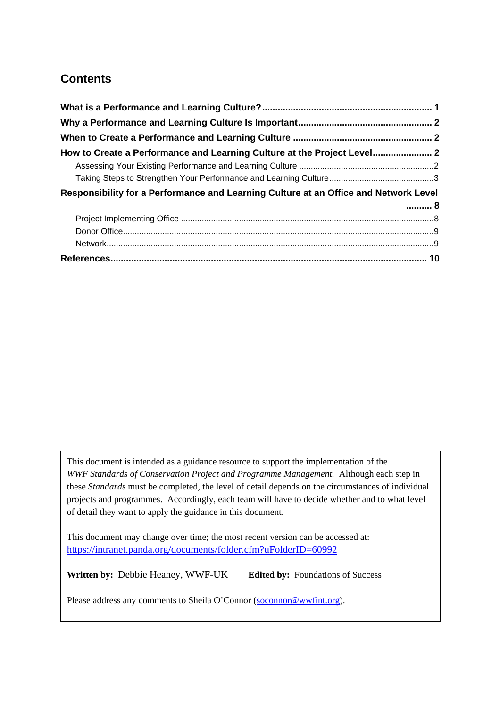# **Contents**

| How to Create a Performance and Learning Culture at the Project Level 2              |  |
|--------------------------------------------------------------------------------------|--|
|                                                                                      |  |
|                                                                                      |  |
| Responsibility for a Performance and Learning Culture at an Office and Network Level |  |
| . 8                                                                                  |  |
|                                                                                      |  |
|                                                                                      |  |
|                                                                                      |  |
|                                                                                      |  |

This document is intended as a guidance resource to support the implementation of the *WWF Standards of Conservation Project and Programme Management.* Although each step in these *Standards* must be completed, the level of detail depends on the circumstances of individual projects and programmes. Accordingly, each team will have to decide whether and to what level of detail they want to apply the guidance in this document.

This document may change over time; the most recent version can be accessed at: <https://intranet.panda.org/documents/folder.cfm?uFolderID=60992>

**Written by:** Debbie Heaney, WWF-UK **Edited by:** Foundations of Success

Please address any comments to Sheila O'Connor [\(soconnor@wwfint.org](mailto:soconnor@wwfint.org)).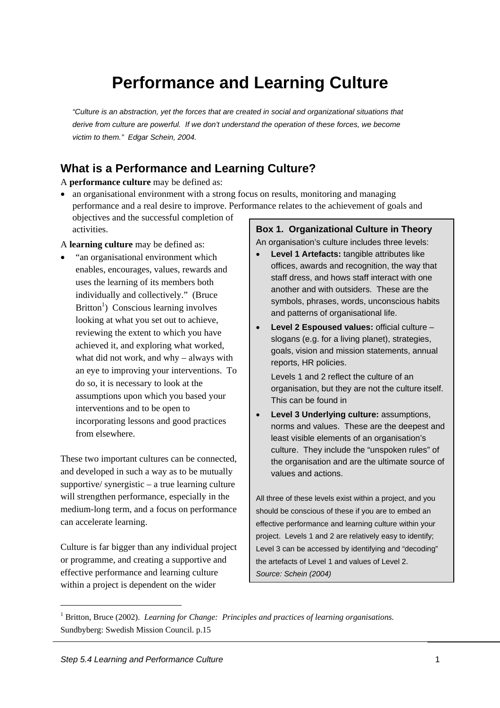# **Performance and Learning Culture**

<span id="page-2-0"></span>*"Culture is an abstraction, yet the forces that are created in social and organizational situations that derive from culture are powerful. If we don't understand the operation of these forces, we become victim to them." Edgar Schein, 2004.* 

# **What is a Performance and Learning Culture?**

A **performance culture** may be defined as:

• an organisational environment with a strong focus on results, monitoring and managing performance and a real desire to improve. Performance relates to the achievement of goals and objectives and the successful completion of

A **learning culture** may be defined as:

activities.

• "an organisational environment which enables, encourages, values, rewards and uses the learning of its members both individually and collectively." (Bruce Britton<sup>[1](#page-2-1)</sup>) Conscious learning involves looking at what you set out to achieve, reviewing the extent to which you have achieved it, and exploring what worked, what did not work, and why – always with an eye to improving your interventions. To do so, it is necessary to look at the assumptions upon which you based your interventions and to be open to incorporating lessons and good practices from elsewhere.

These two important cultures can be connected, and developed in such a way as to be mutually supportive/ synergistic – a true learning culture will strengthen performance, especially in the medium-long term, and a focus on performance can accelerate learning.

Culture is far bigger than any individual project or programme, and creating a supportive and effective performance and learning culture within a project is dependent on the wider

**Box 1. Organizational Culture in Theory** An organisation's culture includes three levels:

- **Level 1 Artefacts:** tangible attributes like offices, awards and recognition, the way that staff dress, and hows staff interact with one another and with outsiders. These are the symbols, phrases, words, unconscious habits and patterns of organisational life.
- **Level 2 Espoused values:** official culture slogans (e.g. for a living planet), strategies, goals, vision and mission statements, annual reports, HR policies.

Levels 1 and 2 reflect the culture of an organisation, but they are not the culture itself. This can be found in

• **Level 3 Underlying culture:** assumptions, norms and values. These are the deepest and least visible elements of an organisation's culture. They include the "unspoken rules" of the organisation and are the ultimate source of values and actions.

All three of these levels exist within a project, and you should be conscious of these if you are to embed an effective performance and learning culture within your project. Levels 1 and 2 are relatively easy to identify; Level 3 can be accessed by identifying and "decoding" the artefacts of Level 1 and values of Level 2. *Source: Schein (2004)* 

<span id="page-2-1"></span> $\overline{1}$  Britton, Bruce (2002). *Learning for Change: Principles and practices of learning organisations.* Sundbyberg: Swedish Mission Council. p.15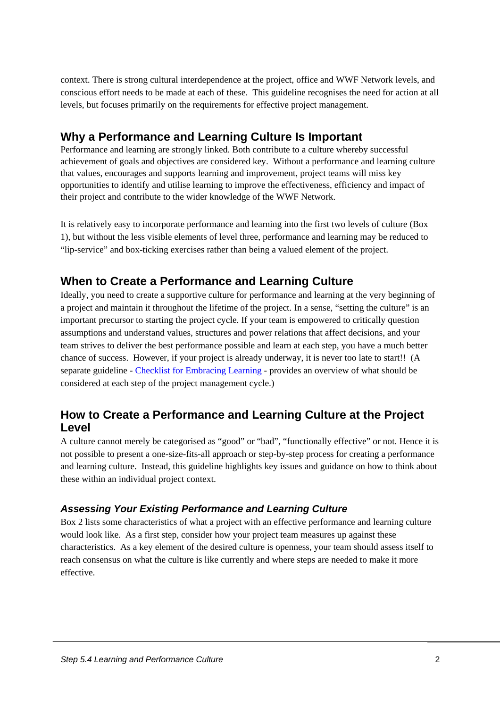<span id="page-3-0"></span>context. There is strong cultural interdependence at the project, office and WWF Network levels, and conscious effort needs to be made at each of these. This guideline recognises the need for action at all levels, but focuses primarily on the requirements for effective project management.

# **Why a Performance and Learning Culture Is Important**

Performance and learning are strongly linked. Both contribute to a culture whereby successful achievement of goals and objectives are considered key. Without a performance and learning culture that values, encourages and supports learning and improvement, project teams will miss key opportunities to identify and utilise learning to improve the effectiveness, efficiency and impact of their project and contribute to the wider knowledge of the WWF Network.

It is relatively easy to incorporate performance and learning into the first two levels of culture [\(Box](#page-2-1)  [1\)](#page-2-1), but without the less visible elements of level three, performance and learning may be reduced to "lip-service" and box-ticking exercises rather than being a valued element of the project.

# **When to Create a Performance and Learning Culture**

Ideally, you need to create a supportive culture for performance and learning at the very beginning of a project and maintain it throughout the lifetime of the project. In a sense, "setting the culture" is an important precursor to starting the project cycle. If your team is empowered to critically question assumptions and understand values, structures and power relations that affect decisions, and your team strives to deliver the best performance possible and learn at each step, you have a much better chance of success. However, if your project is already underway, it is never too late to start!! (A separate guideline - [Checklist for Embracing Learning](https://intranet.panda.org/documents/document.cfm?uFolderID=76427&uDocID=98914) - provides an overview of what should be considered at each step of the project management cycle.)

# **How to Create a Performance and Learning Culture at the Project Level**

A culture cannot merely be categorised as "good" or "bad", "functionally effective" or not. Hence it is not possible to present a one-size-fits-all approach or step-by-step process for creating a performance and learning culture. Instead, this guideline highlights key issues and guidance on how to think about these within an individual project context.

#### *Assessing Your Existing Performance and Learning Culture*

[Box 2](#page-2-1) lists some characteristics of what a project with an effective performance and learning culture would look like. As a first step, consider how your project team measures up against these characteristics. As a key element of the desired culture is openness, your team should assess itself to reach consensus on what the culture is like currently and where steps are needed to make it more effective.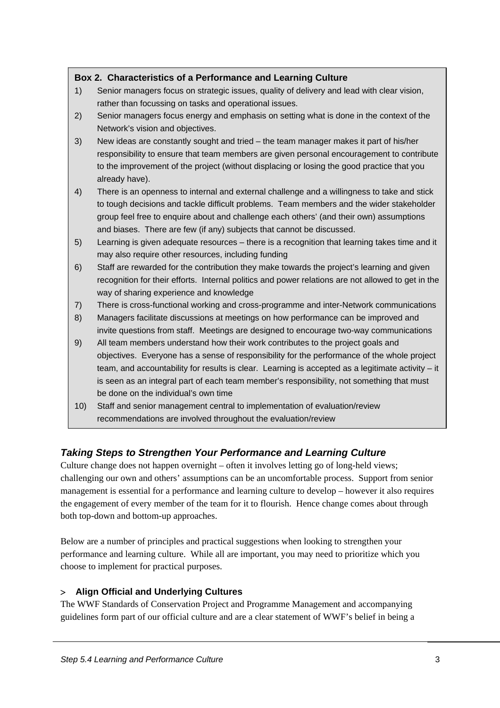#### <span id="page-4-0"></span>**Box 2. Characteristics of a Performance and Learning Culture**

- 1) Senior managers focus on strategic issues, quality of delivery and lead with clear vision, rather than focussing on tasks and operational issues.
- 2) Senior managers focus energy and emphasis on setting what is done in the context of the Network's vision and objectives.
- 3) New ideas are constantly sought and tried the team manager makes it part of his/her responsibility to ensure that team members are given personal encouragement to contribute to the improvement of the project (without displacing or losing the good practice that you already have).
- 4) There is an openness to internal and external challenge and a willingness to take and stick to tough decisions and tackle difficult problems. Team members and the wider stakeholder group feel free to enquire about and challenge each others' (and their own) assumptions and biases. There are few (if any) subjects that cannot be discussed.
- 5) Learning is given adequate resources there is a recognition that learning takes time and it may also require other resources, including funding
- 6) Staff are rewarded for the contribution they make towards the project's learning and given recognition for their efforts. Internal politics and power relations are not allowed to get in the way of sharing experience and knowledge
- 7) There is cross-functional working and cross-programme and inter-Network communications
- 8) Managers facilitate discussions at meetings on how performance can be improved and invite questions from staff. Meetings are designed to encourage two-way communications
- 9) All team members understand how their work contributes to the project goals and objectives. Everyone has a sense of responsibility for the performance of the whole project team, and accountability for results is clear. Learning is accepted as a legitimate activity – it is seen as an integral part of each team member's responsibility, not something that must be done on the individual's own time
- 10) Staff and senior management central to implementation of evaluation/review recommendations are involved throughout the evaluation/review

## *Taking Steps to Strengthen Your Performance and Learning Culture*

Culture change does not happen overnight – often it involves letting go of long-held views; challenging our own and others' assumptions can be an uncomfortable process. Support from senior management is essential for a performance and learning culture to develop – however it also requires the engagement of every member of the team for it to flourish. Hence change comes about through both top-down and bottom-up approaches.

Below are a number of principles and practical suggestions when looking to strengthen your performance and learning culture. While all are important, you may need to prioritize which you choose to implement for practical purposes.

#### > **Align Official and Underlying Cultures**

The WWF Standards of Conservation Project and Programme Management and accompanying guidelines form part of our official culture and are a clear statement of WWF's belief in being a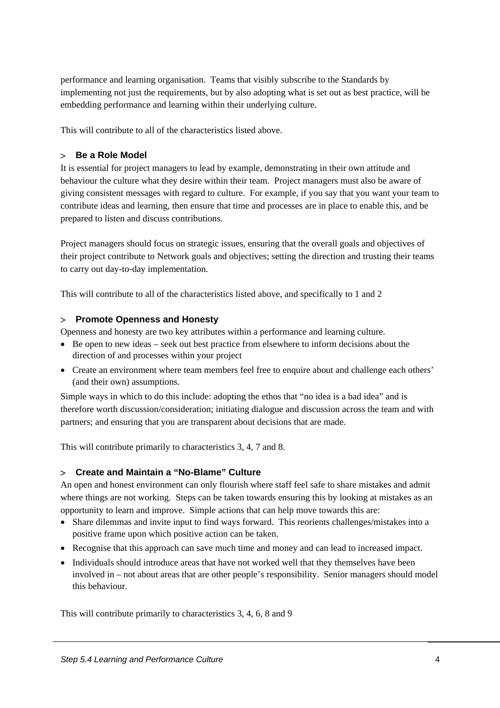performance and learning organisation. Teams that visibly subscribe to the Standards by implementing not just the requirements, but by also adopting what is set out as best practice, will be embedding performance and learning within their underlying culture.

This will contribute to all of the characteristics listed above.

#### > **Be a Role Model**

It is essential for project managers to lead by example, demonstrating in their own attitude and behaviour the culture what they desire within their team. Project managers must also be aware of giving consistent messages with regard to culture. For example, if you say that you want your team to contribute ideas and learning, then ensure that time and processes are in place to enable this, and be prepared to listen and discuss contributions.

Project managers should focus on strategic issues, ensuring that the overall goals and objectives of their project contribute to Network goals and objectives; setting the direction and trusting their teams to carry out day-to-day implementation.

This will contribute to all of the characteristics listed above, and specifically to 1 and 2

#### > **Promote Openness and Honesty**

Openness and honesty are two key attributes within a performance and learning culture.

- Be open to new ideas seek out best practice from elsewhere to inform decisions about the direction of and processes within your project
- Create an environment where team members feel free to enquire about and challenge each others' (and their own) assumptions.

Simple ways in which to do this include: adopting the ethos that "no idea is a bad idea" and is therefore worth discussion/consideration; initiating dialogue and discussion across the team and with partners; and ensuring that you are transparent about decisions that are made.

This will contribute primarily to characteristics 3, 4, 7 and 8.

#### > **Create and Maintain a "No-Blame" Culture**

An open and honest environment can only flourish where staff feel safe to share mistakes and admit where things are not working. Steps can be taken towards ensuring this by looking at mistakes as an opportunity to learn and improve. Simple actions that can help move towards this are:

- Share dilemmas and invite input to find ways forward. This reorients challenges/mistakes into a positive frame upon which positive action can be taken.
- Recognise that this approach can save much time and money and can lead to increased impact.
- Individuals should introduce areas that have not worked well that they themselves have been involved in – not about areas that are other people's responsibility. Senior managers should model this behaviour.

This will contribute primarily to characteristics 3, 4, 6, 8 and 9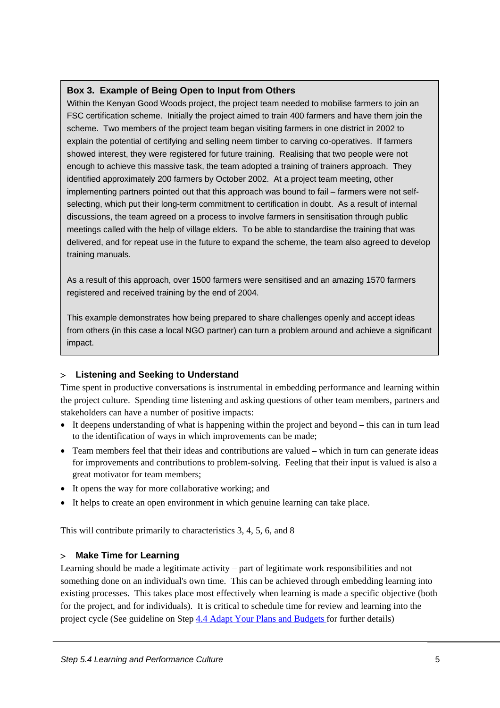#### **Box 3. Example of Being Open to Input from Others**

Within the Kenyan Good Woods project, the project team needed to mobilise farmers to join an FSC certification scheme. Initially the project aimed to train 400 farmers and have them join the scheme. Two members of the project team began visiting farmers in one district in 2002 to explain the potential of certifying and selling neem timber to carving co-operatives. If farmers showed interest, they were registered for future training. Realising that two people were not enough to achieve this massive task, the team adopted a training of trainers approach. They identified approximately 200 farmers by October 2002. At a project team meeting, other implementing partners pointed out that this approach was bound to fail – farmers were not selfselecting, which put their long-term commitment to certification in doubt. As a result of internal discussions, the team agreed on a process to involve farmers in sensitisation through public meetings called with the help of village elders. To be able to standardise the training that was delivered, and for repeat use in the future to expand the scheme, the team also agreed to develop training manuals.

As a result of this approach, over 1500 farmers were sensitised and an amazing 1570 farmers registered and received training by the end of 2004.

This example demonstrates how being prepared to share challenges openly and accept ideas from others (in this case a local NGO partner) can turn a problem around and achieve a significant impact.

#### > **Listening and Seeking to Understand**

Time spent in productive conversations is instrumental in embedding performance and learning within the project culture. Spending time listening and asking questions of other team members, partners and stakeholders can have a number of positive impacts:

- It deepens understanding of what is happening within the project and beyond this can in turn lead to the identification of ways in which improvements can be made;
- Team members feel that their ideas and contributions are valued which in turn can generate ideas for improvements and contributions to problem-solving. Feeling that their input is valued is also a great motivator for team members;
- It opens the way for more collaborative working; and
- It helps to create an open environment in which genuine learning can take place.

This will contribute primarily to characteristics 3, 4, 5, 6, and 8

#### > **Make Time for Learning**

Learning should be made a legitimate activity – part of legitimate work responsibilities and not something done on an individual's own time. This can be achieved through embedding learning into existing processes. This takes place most effectively when learning is made a specific objective (both for the project, and for individuals). It is critical to schedule time for review and learning into the project cycle (See guideline on Step [4.4 Adapt Your Plans and Budgets](https://intranet.panda.org/data/downloads/60988/44adaptyourplan100806.doc) for further details)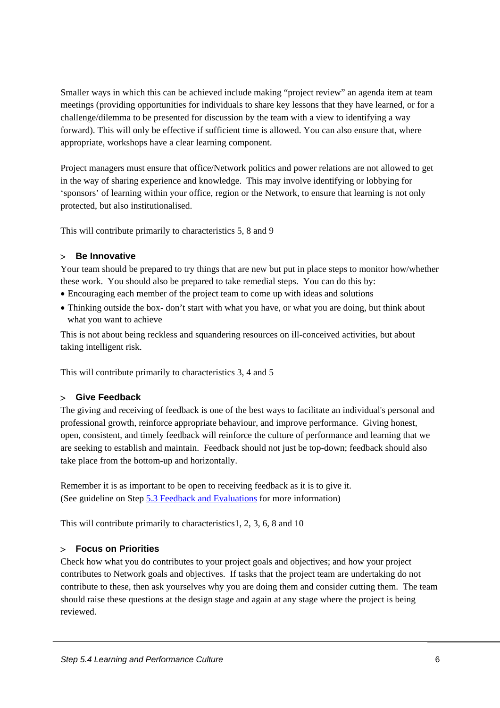Smaller ways in which this can be achieved include making "project review" an agenda item at team meetings (providing opportunities for individuals to share key lessons that they have learned, or for a challenge/dilemma to be presented for discussion by the team with a view to identifying a way forward). This will only be effective if sufficient time is allowed. You can also ensure that, where appropriate, workshops have a clear learning component.

Project managers must ensure that office/Network politics and power relations are not allowed to get in the way of sharing experience and knowledge. This may involve identifying or lobbying for 'sponsors' of learning within your office, region or the Network, to ensure that learning is not only protected, but also institutionalised.

This will contribute primarily to characteristics 5, 8 and 9

#### > **Be Innovative**

Your team should be prepared to try things that are new but put in place steps to monitor how/whether these work. You should also be prepared to take remedial steps. You can do this by:

- Encouraging each member of the project team to come up with ideas and solutions
- Thinking outside the box-don't start with what you have, or what you are doing, but think about what you want to achieve

This is not about being reckless and squandering resources on ill-conceived activities, but about taking intelligent risk.

This will contribute primarily to characteristics 3, 4 and 5

#### > **Give Feedback**

The giving and receiving of feedback is one of the best ways to facilitate an individual's personal and professional growth, reinforce appropriate behaviour, and improve performance. Giving honest, open, consistent, and timely feedback will reinforce the culture of performance and learning that we are seeking to establish and maintain. Feedback should not just be top-down; feedback should also take place from the bottom-up and horizontally.

Remember it is as important to be open to receiving feedback as it is to give it. (See guideline on Step [5.3 Feedback and Evaluations](https://intranet.panda.org/data/downloads/60991/53feedbackandevaluation101106.doc) for more information)

This will contribute primarily to characteristics1, 2, 3, 6, 8 and 10

#### > **Focus on Priorities**

Check how what you do contributes to your project goals and objectives; and how your project contributes to Network goals and objectives. If tasks that the project team are undertaking do not contribute to these, then ask yourselves why you are doing them and consider cutting them. The team should raise these questions at the design stage and again at any stage where the project is being reviewed.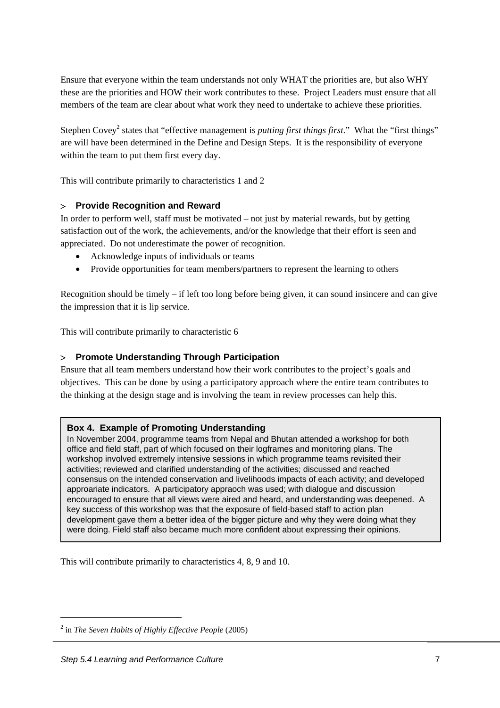Ensure that everyone within the team understands not only WHAT the priorities are, but also WHY these are the priorities and HOW their work contributes to these. Project Leaders must ensure that all members of the team are clear about what work they need to undertake to achieve these priorities.

Stephen Covey<sup>[2](#page-8-0)</sup> states that "effective management is *putting first things first*." What the "first things" are will have been determined in the Define and Design Steps. It is the responsibility of everyone within the team to put them first every day.

This will contribute primarily to characteristics 1 and 2

#### > **Provide Recognition and Reward**

In order to perform well, staff must be motivated – not just by material rewards, but by getting satisfaction out of the work, the achievements, and/or the knowledge that their effort is seen and appreciated. Do not underestimate the power of recognition.

- Acknowledge inputs of individuals or teams
- Provide opportunities for team members/partners to represent the learning to others

Recognition should be timely – if left too long before being given, it can sound insincere and can give the impression that it is lip service.

This will contribute primarily to characteristic 6

#### > **Promote Understanding Through Participation**

Ensure that all team members understand how their work contributes to the project's goals and objectives. This can be done by using a participatory approach where the entire team contributes to the thinking at the design stage and is involving the team in review processes can help this.

#### **Box 4. Example of Promoting Understanding**

In November 2004, programme teams from Nepal and Bhutan attended a workshop for both office and field staff, part of which focused on their logframes and monitoring plans. The workshop involved extremely intensive sessions in which programme teams revisited their activities; reviewed and clarified understanding of the activities; discussed and reached consensus on the intended conservation and livelihoods impacts of each activity; and developed approariate indicators. A participatory appraoch was used; with dialogue and discussion encouraged to ensure that all views were aired and heard, and understanding was deepened. A key success of this workshop was that the exposure of field-based staff to action plan development gave them a better idea of the bigger picture and why they were doing what they were doing. Field staff also became much more confident about expressing their opinions.

This will contribute primarily to characteristics 4, 8, 9 and 10.

<span id="page-8-0"></span> $\overline{a}$ in *The Seven Habits of Highly Effective People* (2005)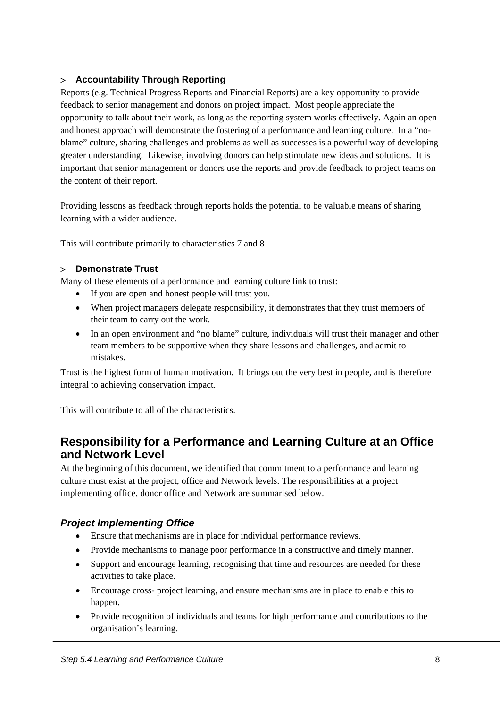#### <span id="page-9-0"></span>> **Accountability Through Reporting**

Reports (e.g. Technical Progress Reports and Financial Reports) are a key opportunity to provide feedback to senior management and donors on project impact. Most people appreciate the opportunity to talk about their work, as long as the reporting system works effectively. Again an open and honest approach will demonstrate the fostering of a performance and learning culture. In a "noblame" culture, sharing challenges and problems as well as successes is a powerful way of developing greater understanding. Likewise, involving donors can help stimulate new ideas and solutions. It is important that senior management or donors use the reports and provide feedback to project teams on the content of their report.

Providing lessons as feedback through reports holds the potential to be valuable means of sharing learning with a wider audience.

This will contribute primarily to characteristics 7 and 8

#### > **Demonstrate Trust**

Many of these elements of a performance and learning culture link to trust:

- If you are open and honest people will trust you.
- When project managers delegate responsibility, it demonstrates that they trust members of their team to carry out the work.
- In an open environment and "no blame" culture, individuals will trust their manager and other team members to be supportive when they share lessons and challenges, and admit to mistakes.

Trust is the highest form of human motivation. It brings out the very best in people, and is therefore integral to achieving conservation impact.

This will contribute to all of the characteristics.

## **Responsibility for a Performance and Learning Culture at an Office and Network Level**

At the beginning of this document, we identified that commitment to a performance and learning culture must exist at the project, office and Network levels. The responsibilities at a project implementing office, donor office and Network are summarised below.

#### *Project Implementing Office*

- Ensure that mechanisms are in place for individual performance reviews.
- Provide mechanisms to manage poor performance in a constructive and timely manner.
- Support and encourage learning, recognising that time and resources are needed for these activities to take place.
- Encourage cross- project learning, and ensure mechanisms are in place to enable this to happen.
- Provide recognition of individuals and teams for high performance and contributions to the organisation's learning.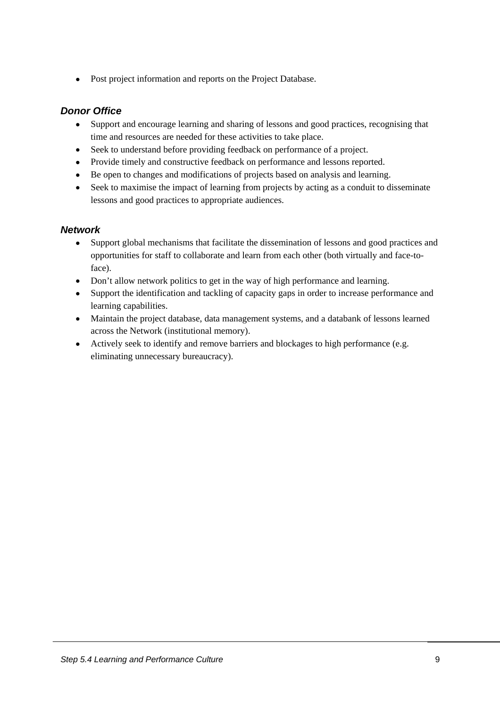<span id="page-10-0"></span>• Post project information and reports on the Project Database.

#### *Donor Office*

- Support and encourage learning and sharing of lessons and good practices, recognising that time and resources are needed for these activities to take place.
- Seek to understand before providing feedback on performance of a project.
- Provide timely and constructive feedback on performance and lessons reported.
- Be open to changes and modifications of projects based on analysis and learning.
- Seek to maximise the impact of learning from projects by acting as a conduit to disseminate lessons and good practices to appropriate audiences.

#### *Network*

- Support global mechanisms that facilitate the dissemination of lessons and good practices and opportunities for staff to collaborate and learn from each other (both virtually and face-toface).
- Don't allow network politics to get in the way of high performance and learning.
- Support the identification and tackling of capacity gaps in order to increase performance and learning capabilities.
- Maintain the project database, data management systems, and a databank of lessons learned across the Network (institutional memory).
- Actively seek to identify and remove barriers and blockages to high performance (e.g. eliminating unnecessary bureaucracy).